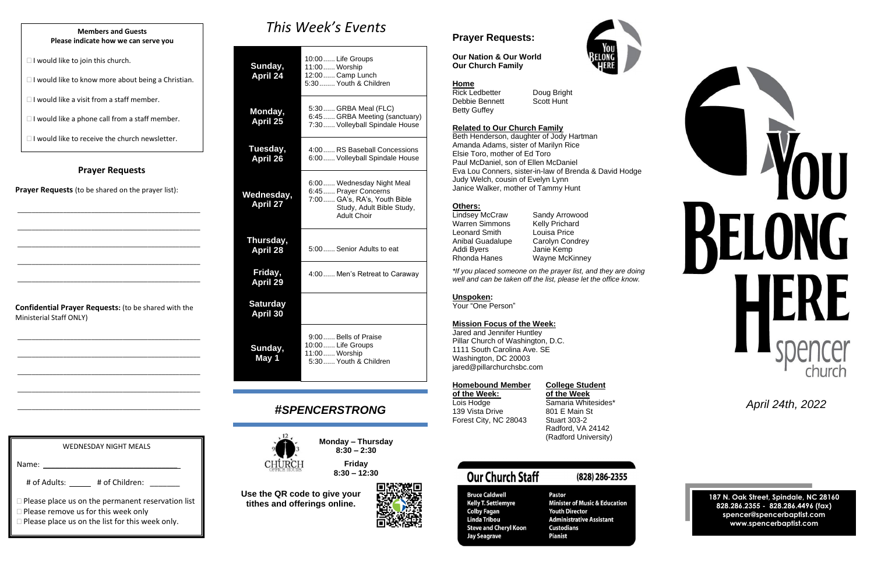#### **Prayer Requests**

**Prayer Requests** (to be shared on the prayer list):

\_\_\_\_\_\_\_\_\_\_\_\_\_\_\_\_\_\_\_\_\_\_\_\_\_\_\_\_\_\_\_\_\_\_\_\_\_\_\_\_\_\_\_\_\_\_\_\_\_\_\_\_

\_\_\_\_\_\_\_\_\_\_\_\_\_\_\_\_\_\_\_\_\_\_\_\_\_\_\_\_\_\_\_\_\_\_\_\_\_\_\_\_\_\_\_\_\_\_\_\_\_\_\_\_

\_\_\_\_\_\_\_\_\_\_\_\_\_\_\_\_\_\_\_\_\_\_\_\_\_\_\_\_\_\_\_\_\_\_\_\_\_\_\_\_\_\_\_\_\_\_\_\_\_\_\_\_

\_\_\_\_\_\_\_\_\_\_\_\_\_\_\_\_\_\_\_\_\_\_\_\_\_\_\_\_\_\_\_\_\_\_\_\_\_\_\_\_\_\_\_\_\_\_\_\_\_\_\_\_

\_\_\_\_\_\_\_\_\_\_\_\_\_\_\_\_\_\_\_\_\_\_\_\_\_\_\_\_\_\_\_\_\_\_\_\_\_\_\_\_\_\_\_\_\_\_\_\_\_\_\_\_

**Confidential Prayer Requests:** (to be shared with the Ministerial Staff ONLY)

\_\_\_\_\_\_\_\_\_\_\_\_\_\_\_\_\_\_\_\_\_\_\_\_\_\_\_\_\_\_\_\_\_\_\_\_\_\_\_\_\_\_\_\_\_\_\_\_\_\_\_\_

\_\_\_\_\_\_\_\_\_\_\_\_\_\_\_\_\_\_\_\_\_\_\_\_\_\_\_\_\_\_\_\_\_\_\_\_\_\_\_\_\_\_\_\_\_\_\_\_\_\_\_\_

\_\_\_\_\_\_\_\_\_\_\_\_\_\_\_\_\_\_\_\_\_\_\_\_\_\_\_\_\_\_\_\_\_\_\_\_\_\_\_\_\_\_\_\_\_\_\_\_\_\_\_\_

\_\_\_\_\_\_\_\_\_\_\_\_\_\_\_\_\_\_\_\_\_\_\_\_\_\_\_\_\_\_\_\_\_\_\_\_\_\_\_\_\_\_\_\_\_\_\_\_\_\_\_\_

\_\_\_\_\_\_\_\_\_\_\_\_\_\_\_\_\_\_\_\_\_\_\_\_\_\_\_\_\_\_\_\_\_\_\_\_\_\_\_\_\_\_\_\_\_\_\_\_\_\_\_\_

# *This Week's Events*

| Sunday,<br><b>April 24</b>         | 10:00 Life Groups<br>11:00  Worship<br>12:00 Camp Lunch<br>5:30 Youth & Children                                                     |
|------------------------------------|--------------------------------------------------------------------------------------------------------------------------------------|
| Monday,<br><b>April 25</b>         | 5:30 GRBA Meal (FLC)<br>6:45 GRBA Meeting (sanctuary)<br>7:30 Volleyball Spindale House                                              |
| Tuesday,<br><b>April 26</b>        | 4:00 RS Baseball Concessions<br>6:00 Volleyball Spindale House                                                                       |
| Wednesday,<br><b>April 27</b>      | 6:00 Wednesday Night Meal<br>6:45 Prayer Concerns<br>7:00 GA's, RA's, Youth Bible<br>Study, Adult Bible Study,<br><b>Adult Choir</b> |
| Thursday,<br><b>April 28</b>       | 5:00 Senior Adults to eat                                                                                                            |
| Friday,<br><b>April 29</b>         | 4:00 Men's Retreat to Caraway                                                                                                        |
| <b>Saturday</b><br><b>April 30</b> |                                                                                                                                      |
| Sunday,<br>May 1                   | 9:00 Bells of Praise<br>10:00 Life Groups<br>11:00 Worship<br>5:30 Youth & Children                                                  |

#### **College Student of the Week: of the Week**

Samaria Whitesides\* 801 E Main St **Stuart 303-2** Radford, VA 24142 (Radford University)

#### **Our Church Staff**

**Bruce Caldwell Kelly T. Settlemyre Colby Fagan Linda Tribou Steve and Cheryl Koon Jay Seagrave** 

#### (828) 286-2355

Pastor **Minister of Music & Education Youth Director Administrative Assistant Custodians Pianist** 





#### *#SPENCERSTRONG*



**Monday – Thursday 8:30 – 2:30**

**Friday 8:30 – 12:30**

**Use the QR code to give your tithes and offerings online.**



#### **Prayer Requests:**

**Our Nation & Our World Our Church Family**

#### **Home**

Rick Ledbetter Doug Bright Debbie Bennett Scott Hunt Betty Guffey

#### **Related to Our Church Family**

Beth Henderson, daughter of Jody Hartman Amanda Adams, sister of Marilyn Rice Elsie Toro, mother of Ed Toro Paul McDaniel, son of Ellen McDaniel Eva Lou Conners, sister-in-law of Brenda & David Hodge Judy Welch, cousin of Evelyn Lynn Janice Walker, mother of Tammy Hunt

#### **Others:**

| Lindsey McCraw   |  |
|------------------|--|
| Warren Simmons   |  |
| Leonard Smith    |  |
| Anibal Guadalupe |  |
| Addi Byers       |  |
| Rhonda Hanes     |  |

Sandy Arrowood Kelly Prichard Louisa Price Carolyn Condrey Janie Kemp **Wayne McKinney** 

*\*If you placed someone on the prayer list, and they are doing well and can be taken off the list, please let the office know.*

**Unspoken:** Your "One Person"

#### **Mission Focus of the Week:**

Jared and Jennifer Huntley Pillar Church of Washington, D.C. 1111 South Carolina Ave. SE Washington, DC 20003 jared@pillarchurchsbc.com

| Homebound Member      |
|-----------------------|
| of the Week:          |
| Lois Hodge            |
| 139 Vista Drive       |
| Forest City, NC 28043 |
|                       |

 *April 24th, 2022*

**187 N. Oak Street, Spindale, NC 28160 828.286.2355 - 828.286.4496 (fax) spencer@spencerbaptist.com www.spencerbaptist.com**

#### **Members and Guests Please indicate how we can serve you**

 $\Box$  I would like to join this church.

 $\Box$  I would like to know more about being a Christian.

 $\Box$  I would like a visit from a staff member.

 $\Box$  I would like a phone call from a staff member.

 $\Box$  I would like to receive the church newsletter.

WEDNESDAY NIGHT MEALS

# of Adults: \_\_\_\_\_ # of Children: \_\_\_\_\_\_

**Please place us on the list for this week only.** 

□ Please remove us for this week only

**Please place us on the permanent reservation list** 

Name: